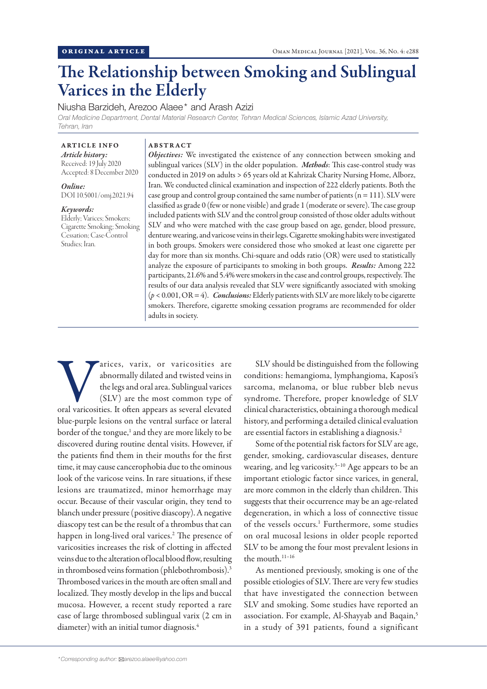# The Relationship between Smoking and Sublingual Varices in the Elderly

Niusha Barzideh, Arezoo Alaee\* and Arash Azizi

*Oral Medicine Department, Dental Material Research Center, Tehran Medical Sciences, Islamic Azad University, Tehran, Iran*

# ARTICLE INFO

*Article history:* Received: 19 July 2020 Accepted: 8 December 2020

*Online:* DOI 10.5001/omj.2021.94

#### *Keywords:*

Elderly; Varices; Smokers; Cigarette Smoking; Smoking Cessation; Case-Control Studies; Iran.

## ABSTRACT

*Objectives:* We investigated the existence of any connection between smoking and sublingual varices (SLV) in the older population. *Methods*: This case-control study was conducted in 2019 on adults > 65 years old at Kahrizak Charity Nursing Home, Alborz, Iran. We conducted clinical examination and inspection of 222 elderly patients. Both the case group and control group contained the same number of patients  $(n = 111)$ . SLV were classified as grade 0 (few or none visible) and grade 1 (moderate or severe). The case group included patients with SLV and the control group consisted of those older adults without SLV and who were matched with the case group based on age, gender, blood pressure, denture wearing, and varicose veins in their legs. Cigarette smoking habits were investigated in both groups. Smokers were considered those who smoked at least one cigarette per day for more than six months. Chi-square and odds ratio (OR) were used to statistically analyze the exposure of participants to smoking in both groups. *Results:* Among 222 participants, 21.6% and 5.4% were smokers in the case and control groups, respectively. The results of our data analysis revealed that SLV were significantly associated with smoking  $(p < 0.001, \text{OR} = 4)$ . *Conclusions:* Elderly patients with SLV are more likely to be cigarette smokers. Therefore, cigarette smoking cessation programs are recommended for older adults in society.

Varices, varix, or varicosities are abnormally dilated and twisted veins in the legs and oral area. Sublingual varices (SLV) are the most common type of oral varicosities. It often appears as several elevated abnormally dilated and twisted veins in the legs and oral area. Sublingual varices (SLV) are the most common type of blue-purple lesions on the ventral surface or lateral border of the tongue,<sup>1</sup> and they are more likely to be discovered during routine dental visits. However, if the patients find them in their mouths for the first time, it may cause cancerophobia due to the ominous look of the varicose veins. In rare situations, if these lesions are traumatized, minor hemorrhage may occur. Because of their vascular origin, they tend to blanch under pressure (positive diascopy). A negative diascopy test can be the result of a thrombus that can happen in long-lived oral varices.2 The presence of varicosities increases the risk of clotting in affected veins due to the alteration of local blood flow, resulting in thrombosed veins formation (phlebothrombosis).3 Thrombosed varices in the mouth are often small and localized. They mostly develop in the lips and buccal mucosa. However, a recent study reported a rare case of large thrombosed sublingual varix (2 cm in diameter) with an initial tumor diagnosis.<sup>4</sup>

SLV should be distinguished from the following conditions: hemangioma, lymphangioma, Kaposi's sarcoma, melanoma, or blue rubber bleb nevus syndrome. Therefore, proper knowledge of SLV clinical characteristics, obtaining a thorough medical history, and performing a detailed clinical evaluation are essential factors in establishing a diagnosis.2

Some of the potential risk factors for SLV are age, gender, smoking, cardiovascular diseases, denture wearing, and leg varicosity.<sup>5-10</sup> Age appears to be an important etiologic factor since varices, in general, are more common in the elderly than children. This suggests that their occurrence may be an age-related degeneration, in which a loss of connective tissue of the vessels occurs.<sup>1</sup> Furthermore, some studies on oral mucosal lesions in older people reported SLV to be among the four most prevalent lesions in the mouth.11–16

As mentioned previously, smoking is one of the possible etiologies of SLV. There are very few studies that have investigated the connection between SLV and smoking. Some studies have reported an association. For example, Al-Shayyab and Baqain,<sup>5</sup> in a study of 391 patients, found a significant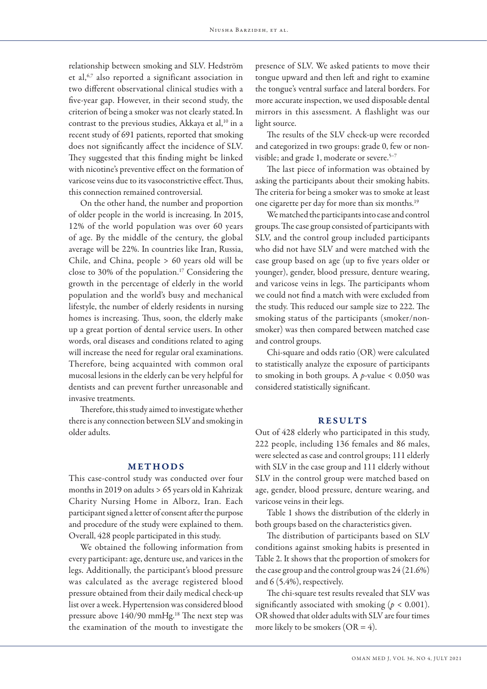relationship between smoking and SLV. Hedström et al,6,7 also reported a significant association in two different observational clinical studies with a five-year gap. However, in their second study, the criterion of being a smoker was not clearly stated.In contrast to the previous studies, Akkaya et al, $^{10}$  in a recent study of 691 patients, reported that smoking does not significantly affect the incidence of SLV. They suggested that this finding might be linked with nicotine's preventive effect on the formation of varicose veins due to its vasoconstrictive effect.Thus, this connection remained controversial.

On the other hand, the number and proportion of older people in the world is increasing. In 2015, 12% of the world population was over 60 years of age. By the middle of the century, the global average will be 22%. In countries like Iran, Russia, Chile, and China, people > 60 years old will be close to 30% of the population.17 Considering the growth in the percentage of elderly in the world population and the world's busy and mechanical lifestyle, the number of elderly residents in nursing homes is increasing. Thus, soon, the elderly make up a great portion of dental service users. In other words, oral diseases and conditions related to aging will increase the need for regular oral examinations. Therefore, being acquainted with common oral mucosal lesions in the elderly can be very helpful for dentists and can prevent further unreasonable and invasive treatments.

Therefore, this study aimed to investigate whether there is any connection between SLV and smoking in older adults.

## METHODS

This case-control study was conducted over four months in 2019 on adults > 65 years old in Kahrizak Charity Nursing Home in Alborz, Iran. Each participant signed a letter of consent after the purpose and procedure of the study were explained to them. Overall, 428 people participated in this study.

We obtained the following information from every participant: age, denture use, and varices in the legs. Additionally, the participant's blood pressure was calculated as the average registered blood pressure obtained from their daily medical check-up list over a week. Hypertension was considered blood pressure above 140/90 mmHg.<sup>18</sup> The next step was the examination of the mouth to investigate the

presence of SLV. We asked patients to move their tongue upward and then left and right to examine the tongue's ventral surface and lateral borders. For more accurate inspection, we used disposable dental mirrors in this assessment. A flashlight was our light source.

The results of the SLV check-up were recorded and categorized in two groups: grade 0, few or nonvisible; and grade 1, moderate or severe.<sup>5-7</sup>

The last piece of information was obtained by asking the participants about their smoking habits. The criteria for being a smoker was to smoke at least one cigarette per day for more than six months.19

We matched the participants into case and control groups. The case group consisted of participants with SLV, and the control group included participants who did not have SLV and were matched with the case group based on age (up to five years older or younger), gender, blood pressure, denture wearing, and varicose veins in legs. The participants whom we could not find a match with were excluded from the study. This reduced our sample size to 222. The smoking status of the participants (smoker/nonsmoker) was then compared between matched case and control groups.

Chi-square and odds ratio (OR) were calculated to statistically analyze the exposure of participants to smoking in both groups. A *p*-value < 0.050 was considered statistically significant.

## RESULTS

Out of 428 elderly who participated in this study, 222 people, including 136 females and 86 males, were selected as case and control groups; 111 elderly with SLV in the case group and 111 elderly without SLV in the control group were matched based on age, gender, blood pressure, denture wearing, and varicose veins in their legs.

Table 1 shows the distribution of the elderly in both groups based on the characteristics given.

The distribution of participants based on SLV conditions against smoking habits is presented in Table 2. It shows that the proportion of smokers for the case group and the control group was 24 (21.6%) and 6 (5.4%), respectively.

The chi-square test results revealed that SLV was significantly associated with smoking ( $p < 0.001$ ). OR showed that older adults with SLV are four times more likely to be smokers  $(OR = 4)$ .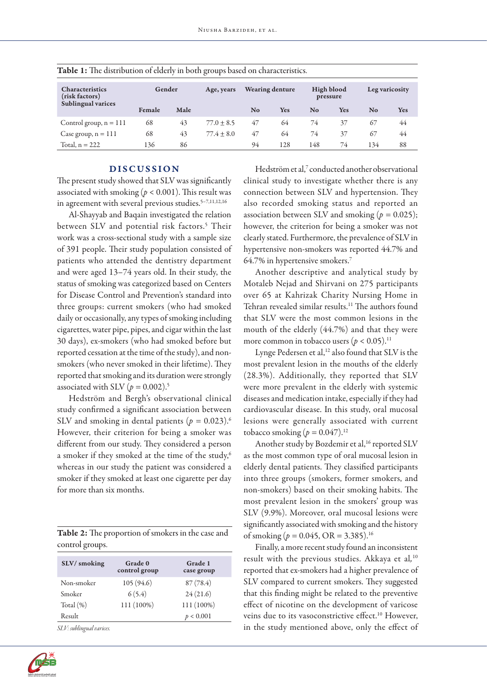| <b>Table 1:</b> The distribution of elderly in both groups based on characteristics. |        |      |                |                        |            |                        |     |                |            |
|--------------------------------------------------------------------------------------|--------|------|----------------|------------------------|------------|------------------------|-----|----------------|------------|
| <b>Characteristics</b><br>(risk factors)                                             | Gender |      | Age, years     | <b>Wearing denture</b> |            | High blood<br>pressure |     | Leg varicosity |            |
| <b>Sublingual varices</b>                                                            | Female | Male |                | No                     | <b>Yes</b> | No                     | Yes | No             | <b>Yes</b> |
| Control group, $n = 111$                                                             | 68     | 43   | $77.0 \pm 8.5$ | 47                     | 64         | 74                     | 37  | 67             | 44         |
| Case group, $n = 111$                                                                | 68     | 43   | $77.4 \pm 8.0$ | 47                     | 64         | 74                     | 37  | 67             | 44         |
| Total, $n = 222$                                                                     | 136    | 86   |                | 94                     | 128        | 148                    | 74  | 134            | 88         |

|  | Table 1: The distribution of elderly in both groups based on characteristics. |
|--|-------------------------------------------------------------------------------|
|--|-------------------------------------------------------------------------------|

# DISCUSSION

The present study showed that SLV was significantly associated with smoking ( $p < 0.001$ ). This result was in agreement with several previous studies.<sup>5-7,11,12,16</sup>

Al-Shayyab and Baqain investigated the relation between SLV and potential risk factors.<sup>5</sup> Their work was a cross-sectional study with a sample size of 391 people. Their study population consisted of patients who attended the dentistry department and were aged 13–74 years old. In their study, the status of smoking was categorized based on Centers for Disease Control and Prevention's standard into three groups: current smokers (who had smoked daily or occasionally, any types of smoking including cigarettes, water pipe, pipes, and cigar within the last 30 days), ex-smokers (who had smoked before but reported cessation at the time of the study), and nonsmokers (who never smoked in their lifetime). They reported that smoking and its duration were strongly associated with SLV ( $p = 0.002$ ).<sup>5</sup>

Hedström and Bergh's observational clinical study confirmed a significant association between SLV and smoking in dental patients  $(p = 0.023)$ .<sup>6</sup> However, their criterion for being a smoker was different from our study. They considered a person a smoker if they smoked at the time of the study,<sup>6</sup> whereas in our study the patient was considered a smoker if they smoked at least one cigarette per day for more than six months.

| Table 2: The proportion of smokers in the case and |  |
|----------------------------------------------------|--|
| control groups.                                    |  |

| SLV/smoking  | Grade 0<br>control group | Grade 1<br>case group |
|--------------|--------------------------|-----------------------|
| Non-smoker   | 105(94.6)                | 87(78.4)              |
| Smoker       | 6(5.4)                   | 24(21.6)              |
| Total $(\%)$ | 111 (100%)               | 111 (100%)            |
| Result       |                          | p < 0.001             |

*SLV: sublingual varices.*



Hedström et al,<sup>7</sup> conducted another observational clinical study to investigate whether there is any connection between SLV and hypertension. They also recorded smoking status and reported an association between SLV and smoking (*p =* 0.025); however, the criterion for being a smoker was not clearly stated. Furthermore, the prevalence of SLV in hypertensive non-smokers was reported 44.7% and 64.7% in hypertensive smokers.7

Another descriptive and analytical study by Motaleb Nejad and Shirvani on 275 participants over 65 at Kahrizak Charity Nursing Home in Tehran revealed similar results.<sup>11</sup> The authors found that SLV were the most common lesions in the mouth of the elderly (44.7%) and that they were more common in tobacco users  $(p < 0.05)$ .<sup>11</sup>

Lynge Pedersen et al,<sup>12</sup> also found that SLV is the most prevalent lesion in the mouths of the elderly (28.3%). Additionally, they reported that SLV were more prevalent in the elderly with systemic diseases and medication intake, especially if they had cardiovascular disease. In this study, oral mucosal lesions were generally associated with current tobacco smoking  $(p = 0.047).$ <sup>12</sup>

Another study by Bozdemir et al, 16 reported SLV as the most common type of oral mucosal lesion in elderly dental patients. They classified participants into three groups (smokers, former smokers, and non-smokers) based on their smoking habits. The most prevalent lesion in the smokers' group was SLV (9.9%). Moreover, oral mucosal lesions were significantly associated with smoking and the history of smoking ( $p = 0.045$ , OR = 3.385).<sup>16</sup>

Finally, a more recent study found an inconsistent result with the previous studies. Akkaya et al*,* 10 reported that ex-smokers had a higher prevalence of SLV compared to current smokers. They suggested that this finding might be related to the preventive effect of nicotine on the development of varicose veins due to its vasoconstrictive effect.<sup>10</sup> However, in the study mentioned above, only the effect of